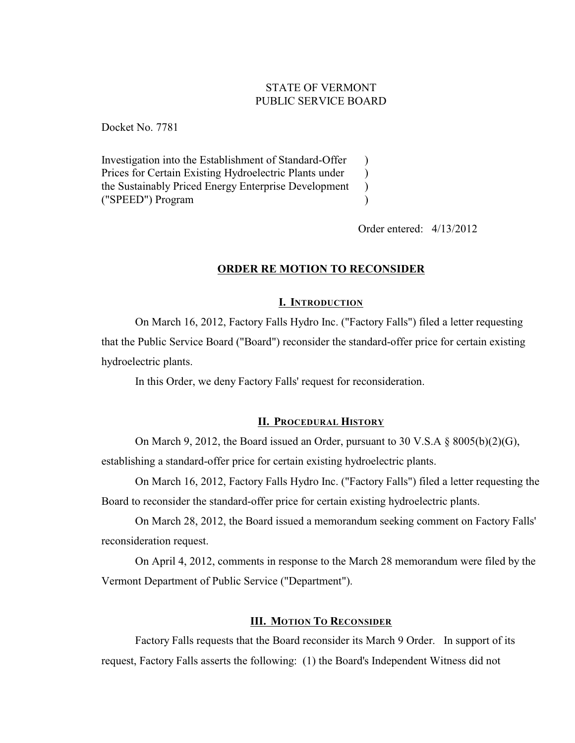# STATE OF VERMONT PUBLIC SERVICE BOARD

 $\lambda$ 

Docket No. 7781

Investigation into the Establishment of Standard-Offer Prices for Certain Existing Hydroelectric Plants under the Sustainably Priced Energy Enterprise Development ("SPEED") Program  $\lambda$  $\lambda$ )

Order entered: 4/13/2012

## **ORDER RE MOTION TO RECONSIDER**

### **I. INTRODUCTION**

On March 16, 2012, Factory Falls Hydro Inc. ("Factory Falls") filed a letter requesting that the Public Service Board ("Board") reconsider the standard-offer price for certain existing hydroelectric plants.

In this Order, we deny Factory Falls' request for reconsideration.

### **II. PROCEDURAL HISTORY**

On March 9, 2012, the Board issued an Order, pursuant to 30 V.S.A § 8005(b)(2)(G), establishing a standard-offer price for certain existing hydroelectric plants.

On March 16, 2012, Factory Falls Hydro Inc. ("Factory Falls") filed a letter requesting the Board to reconsider the standard-offer price for certain existing hydroelectric plants.

On March 28, 2012, the Board issued a memorandum seeking comment on Factory Falls' reconsideration request.

On April 4, 2012, comments in response to the March 28 memorandum were filed by the Vermont Department of Public Service ("Department").

## **III. MOTION TO RECONSIDER**

Factory Falls requests that the Board reconsider its March 9 Order. In support of its request, Factory Falls asserts the following: (1) the Board's Independent Witness did not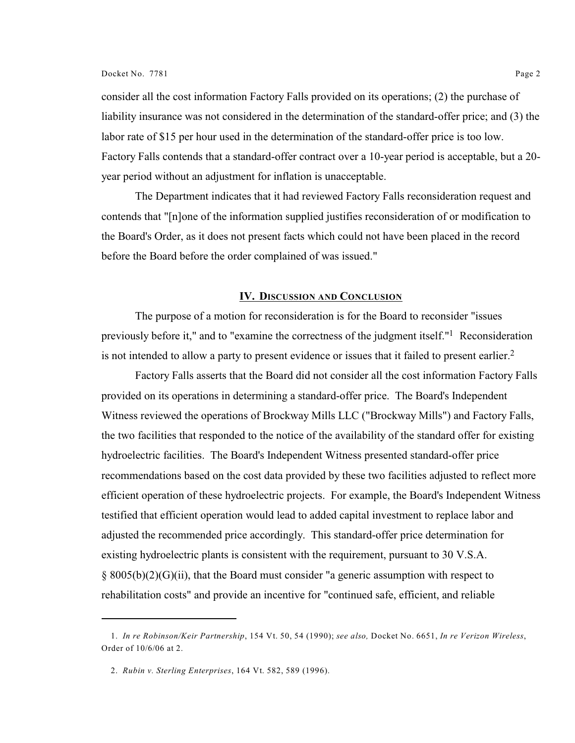consider all the cost information Factory Falls provided on its operations; (2) the purchase of liability insurance was not considered in the determination of the standard-offer price; and (3) the labor rate of \$15 per hour used in the determination of the standard-offer price is too low. Factory Falls contends that a standard-offer contract over a 10-year period is acceptable, but a 20 year period without an adjustment for inflation is unacceptable.

The Department indicates that it had reviewed Factory Falls reconsideration request and contends that "[n]one of the information supplied justifies reconsideration of or modification to the Board's Order, as it does not present facts which could not have been placed in the record before the Board before the order complained of was issued."

#### **IV. DISCUSSION AND CONCLUSION**

The purpose of a motion for reconsideration is for the Board to reconsider "issues previously before it," and to "examine the correctness of the judgment itself."<sup>1</sup> Reconsideration is not intended to allow a party to present evidence or issues that it failed to present earlier.<sup>2</sup>

Factory Falls asserts that the Board did not consider all the cost information Factory Falls provided on its operations in determining a standard-offer price. The Board's Independent Witness reviewed the operations of Brockway Mills LLC ("Brockway Mills") and Factory Falls, the two facilities that responded to the notice of the availability of the standard offer for existing hydroelectric facilities. The Board's Independent Witness presented standard-offer price recommendations based on the cost data provided by these two facilities adjusted to reflect more efficient operation of these hydroelectric projects. For example, the Board's Independent Witness testified that efficient operation would lead to added capital investment to replace labor and adjusted the recommended price accordingly. This standard-offer price determination for existing hydroelectric plants is consistent with the requirement, pursuant to 30 V.S.A. § 8005(b)(2)(G)(ii), that the Board must consider "a generic assumption with respect to rehabilitation costs" and provide an incentive for "continued safe, efficient, and reliable

<sup>1.</sup> *In re Robinson/Keir Partnership*, 154 Vt. 50, 54 (1990); *see also,* Docket No. 6651, *In re Verizon Wireless*, Order of 10/6/06 at 2.

<sup>2.</sup> *Rubin v. Sterling Enterprises*, 164 Vt. 582, 589 (1996).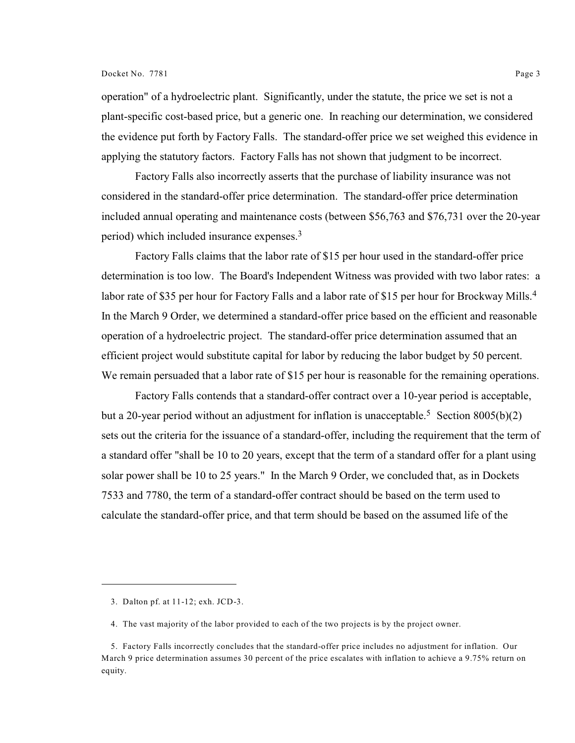#### Docket No. 7781 Page 3

operation" of a hydroelectric plant. Significantly, under the statute, the price we set is not a plant-specific cost-based price, but a generic one. In reaching our determination, we considered the evidence put forth by Factory Falls. The standard-offer price we set weighed this evidence in applying the statutory factors. Factory Falls has not shown that judgment to be incorrect.

Factory Falls also incorrectly asserts that the purchase of liability insurance was not considered in the standard-offer price determination. The standard-offer price determination included annual operating and maintenance costs (between \$56,763 and \$76,731 over the 20-year period) which included insurance expenses.<sup>3</sup>

Factory Falls claims that the labor rate of \$15 per hour used in the standard-offer price determination is too low. The Board's Independent Witness was provided with two labor rates: a labor rate of \$35 per hour for Factory Falls and a labor rate of \$15 per hour for Brockway Mills.<sup>4</sup> In the March 9 Order, we determined a standard-offer price based on the efficient and reasonable operation of a hydroelectric project. The standard-offer price determination assumed that an efficient project would substitute capital for labor by reducing the labor budget by 50 percent. We remain persuaded that a labor rate of \$15 per hour is reasonable for the remaining operations.

Factory Falls contends that a standard-offer contract over a 10-year period is acceptable, but a 20-year period without an adjustment for inflation is unacceptable.<sup>5</sup> Section 8005(b)(2) sets out the criteria for the issuance of a standard-offer, including the requirement that the term of a standard offer "shall be 10 to 20 years, except that the term of a standard offer for a plant using solar power shall be 10 to 25 years." In the March 9 Order, we concluded that, as in Dockets 7533 and 7780, the term of a standard-offer contract should be based on the term used to calculate the standard-offer price, and that term should be based on the assumed life of the

<sup>3.</sup> Dalton pf. at 11-12; exh. JCD-3.

<sup>4.</sup> The vast majority of the labor provided to each of the two projects is by the project owner.

<sup>5.</sup> Factory Falls incorrectly concludes that the standard-offer price includes no adjustment for inflation. Our March 9 price determination assumes 30 percent of the price escalates with inflation to achieve a 9.75% return on equity.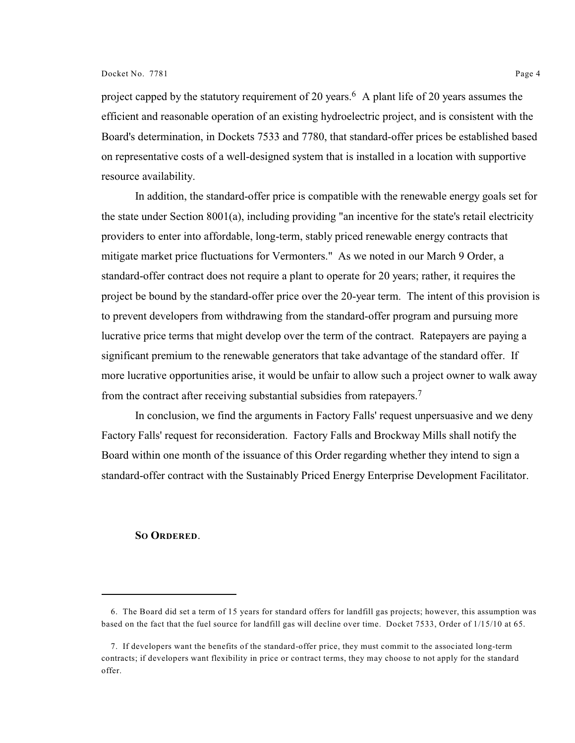project capped by the statutory requirement of 20 years.<sup>6</sup> A plant life of 20 years assumes the efficient and reasonable operation of an existing hydroelectric project, and is consistent with the Board's determination, in Dockets 7533 and 7780, that standard-offer prices be established based on representative costs of a well-designed system that is installed in a location with supportive resource availability.

In addition, the standard-offer price is compatible with the renewable energy goals set for the state under Section 8001(a), including providing "an incentive for the state's retail electricity providers to enter into affordable, long-term, stably priced renewable energy contracts that mitigate market price fluctuations for Vermonters." As we noted in our March 9 Order, a standard-offer contract does not require a plant to operate for 20 years; rather, it requires the project be bound by the standard-offer price over the 20-year term. The intent of this provision is to prevent developers from withdrawing from the standard-offer program and pursuing more lucrative price terms that might develop over the term of the contract. Ratepayers are paying a significant premium to the renewable generators that take advantage of the standard offer. If more lucrative opportunities arise, it would be unfair to allow such a project owner to walk away from the contract after receiving substantial subsidies from ratepayers.<sup>7</sup>

In conclusion, we find the arguments in Factory Falls' request unpersuasive and we deny Factory Falls' request for reconsideration. Factory Falls and Brockway Mills shall notify the Board within one month of the issuance of this Order regarding whether they intend to sign a standard-offer contract with the Sustainably Priced Energy Enterprise Development Facilitator.

#### **SO ORDERED**.

<sup>6.</sup> The Board did set a term of 15 years for standard offers for landfill gas projects; however, this assumption was based on the fact that the fuel source for landfill gas will decline over time. Docket 7533, Order of 1/15/10 at 65.

<sup>7.</sup> If developers want the benefits of the standard-offer price, they must commit to the associated long-term contracts; if developers want flexibility in price or contract terms, they may choose to not apply for the standard offer.